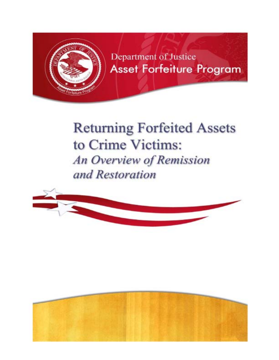

Department of Justice **Asset Forfeiture Program** 

# **Returning Forfeited** Assets **to Crime Victims: An** Overview of Remission *and Restoration*



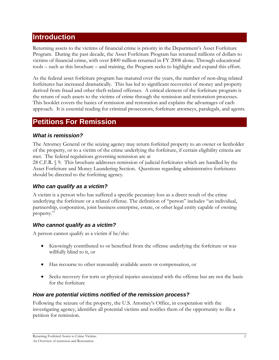# **Introduction**

Returning assets to the victims of financial crime is priority in the Department's Asset Forfeiture Program. During the past decade, the Asset Forfeiture Program has returned millions of dollars to victims of financial crime, with over \$400 million returned in FY 2008 alone. Through educational tools – such as this brochure – and training, the Program seeks to highlight and expand this effort.

As the federal asset forfeiture program has matured over the years, the number of non-drug related forfeitures has increased dramatically. This has led to significant recoveries of money and property derived from fraud and other theft-related offenses. A critical element of the forfeiture program is the return of such assets to the victims of crime through the remission and restoration processes. This booklet covers the basics of remission and restoration and explains the advantages of each approach. It is essential reading for criminal prosecutors, forfeiture attorneys, paralegals, and agents.

# **Petitions For Remission**

#### *What is remission?*

The Attorney General or the seizing agency may return forfeited property to an owner or lienholder of the property, or to a victim of the crime underlying the forfeiture, if certain eligibility criteria are met. The federal regulations governing remission are at

28 C.F.R. § 9. This brochure addresses remission of judicial forfeitures which are handled by the Asset Forfeiture and Money Laundering Section. Questions regarding administrative forfeitures should be directed to the forfeiting agency.

# *Who can qualify as a victim?*

A victim is a person who has suffered a specific pecuniary loss as a direct result of the crime underlying the forfeiture or a related offense. The definition of "person" includes "an individual, partnership, corporation, joint business enterprise, estate, or other legal entity capable of owning property."

# *Who cannot qualify as a victim?*

A person cannot qualify as a victim if he/she:

- Knowingly contributed to or benefited from the offense underlying the forfeiture or was willfully blind to it, or
- Has recourse to other reasonably available assets or compensation, or
- Seeks recovery for torts or physical injuries associated with the offense but are not the basis for the forfeiture

#### *How are potential victims notified of the remission process?*

Following the seizure of the property, the U.S. Attorney's Office, in cooperation with the investigating agency, identifies all potential victims and notifies them of the opportunity to file a petition for remission.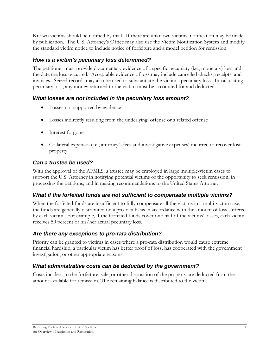Known victims should be notified by mail. If there are unknown victims, notification may be made by publication. The U.S. Attorney's Office may also use the Victim Notification System and modify the standard victim notice to include notice of forfeiture and a model petition for remission.

# *How is a victim's pecuniary loss determined?*

The petitioner must provide documentary evidence of a specific pecuniary (i.e., monetary) loss and the date the loss occurred. Acceptable evidence of loss may include cancelled checks, receipts, and invoices. Seized records may also be used to substantiate the victim's pecuniary loss. In calculating pecuniary loss, any money returned to the victim must be accounted for and deducted.

# *What losses are not included in the pecuniary loss amount?*

- Losses not supported by evidence
- Losses indirectly resulting from the underlying offense or a related offense
- Interest forgone
- Collateral expenses (i.e., attorney's fees and investigative expenses) incurred to recover lost property

# *Can a trustee be used?*

With the approval of the AFMLS, a trustee may be employed in large multiple-victim cases to support the U.S. Attorney in notifying potential victims of the opportunity to seek remission, in processing the petitions, and in making recommendations to the United States Attorney.

# *What if the forfeited funds are not sufficient to compensate multiple victims?*

When the forfeited funds are insufficient to fully compensate all the victims in a multi-victim case, the funds are generally distributed on a pro-rata basis in accordance with the amount of loss suffered by each victim. For example, if the forfeited funds cover one-half of the victims' losses, each victim receives 50 percent of his/her actual pecuniary loss.

# *Are there any exceptions to pro-rata distribution?*

Priority can be granted to victims in cases where a pro-rata distribution would cause extreme financial hardship, a particular victim has better proof of loss, has cooperated with the government investigation, or other appropriate reasons.

# *What administrative costs can be deducted by the government?*

Costs incident to the forfeiture, sale, or other disposition of the property are deducted from the amount available for remission. The remaining balance is distributed to the victims.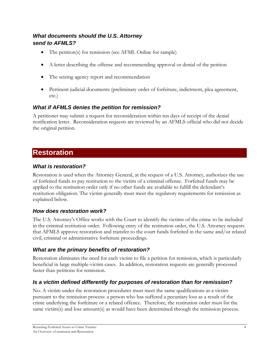# *What documents should the U.S. Attorney send to AFMLS?*

- The petition(s) for remission (see AFML Online for sample)
- A letter describing the offense and recommending approval or denial of the petition
- The seizing agency report and recommendation
- Pertinent judicial documents (preliminary order of forfeiture, indictment, plea agreement, etc.)

# *What if AFMLS denies the petition for remission?*

A petitioner may submit a request for reconsideration within ten days of receipt of the denial notification letter. Reconsideration requests are reviewed by an AFMLS official who did not decide the original petition.

# **Restoration**

#### *What is restoration?*

Restoration is used when the Attorney General, at the request of a U.S. Attorney, authorizes the use of forfeited funds to pay restitution to the victim of a criminal offense. Forfeited funds may be applied to the restitution order only if no other funds are available to fulfill the defendant's restitution obligation. The victim generally must meet the regulatory requirements for remission as explained below.

#### *How does restoration work?*

The U.S. Attorney's Office works with the Court to identify the victims of the crime to be included in the criminal restitution order. Following entry of the restitution order, the U.S. Attorney requests that AFMLS approve restoration and transfer to the court funds forfeited in the same and/or related civil, criminal or administrative forfeiture proceedings.

#### *What are the primary benefits of restoration?*

Restoration eliminates the need for each victim to file a petition for remission, which is particularly beneficial in large multiple-victim cases. In addition, restoration requests are generally processed faster than petitions for remission.

# *Is a victim defined differently for purposes of restoration than for remission?*

No. A victim under the restoration procedures must meet the same qualifications as a victim pursuant to the remission process: a person who has suffered a pecuniary loss as a result of the crime underlying the forfeiture or a related offence. Therefore, the restitution order must list the same victim(s) and loss amount(s) as would have been determined through the remission process.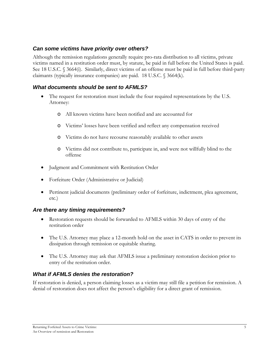#### *Can some victims have priority over others?*

Although the remission regulations generally require pro-rata distribution to all victims, private victims named in a restitution order must, by statute, be paid in full before the United States is paid. See 18 U.S.C. § 3664(i). Similarly, direct victims of an offense must be paid in full before third-party claimants (typically insurance companies) are paid. 18 U.S.C. § 3664(k).

#### *What documents should be sent to AFMLS?*

- The request for restoration must include the four required representations by the U.S. Attorney:
	- o All known victims have been notified and are accounted for
	- o Victims' losses have been verified and reflect any compensation received
	- o Victims do not have recourse reasonably available to other assets
	- o Victims did not contribute to, participate in, and were not willfully blind to the offense
- Judgment and Commitment with Restitution Order
- Forfeiture Order (Administrative or Judicial)
- Pertinent judicial documents (preliminary order of forfeiture, indictment, plea agreement, etc.)

#### *Are there any timing requirements?*

- Restoration requests should be forwarded to AFMLS within 30 days of entry of the restitution order
- The U.S. Attorney may place a 12-month hold on the asset in CATS in order to prevent its dissipation through remission or equitable sharing.
- The U.S. Attorney may ask that AFMLS issue a preliminary restoration decision prior to entry of the restitution order.

#### *What if AFMLS denies the restoration?*

If restoration is denied, a person claiming losses as a victim may still file a petition for remission. A denial of restoration does not affect the person's eligibility for a direct grant of remission.